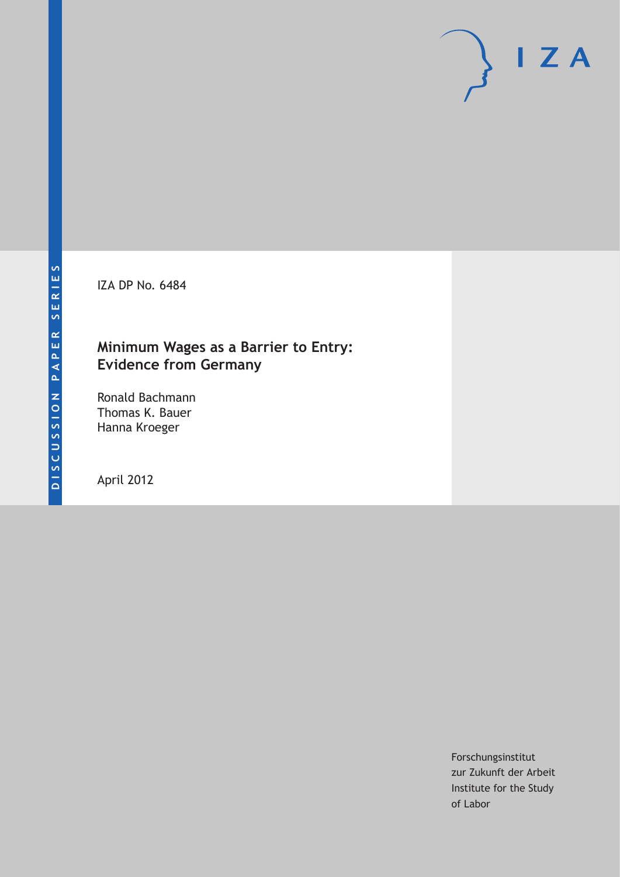IZA DP No. 6484

## **Minimum Wages as a Barrier to Entry: Evidence from Germany**

Ronald Bachmann Thomas K. Bauer Hanna Kroeger

April 2012

Forschungsinstitut zur Zukunft der Arbeit Institute for the Study of Labor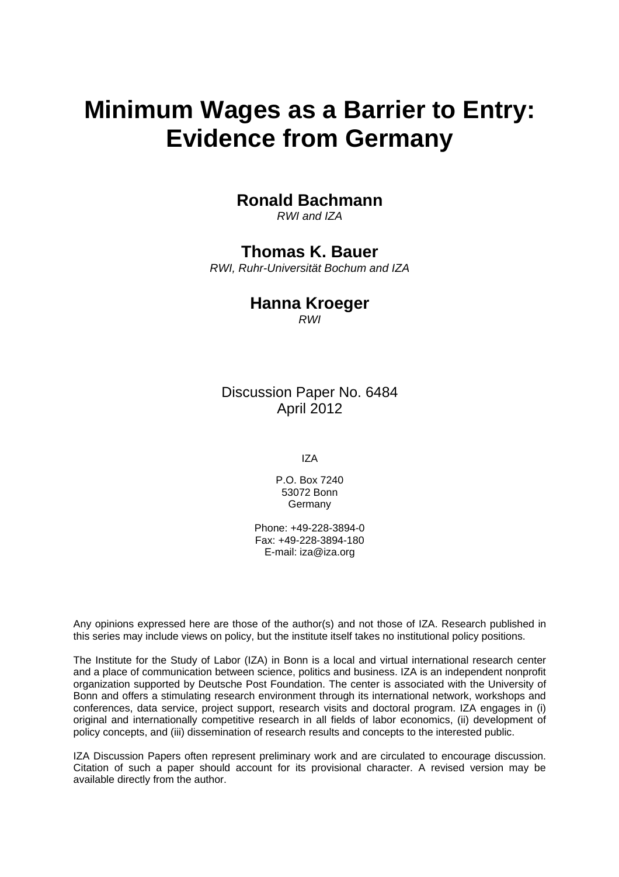# **Minimum Wages as a Barrier to Entry: Evidence from Germany**

## **Ronald Bachmann**

*RWI and IZA* 

## **Thomas K. Bauer**

*RWI, Ruhr-Universität Bochum and IZA* 

## **Hanna Kroeger**

*RWI* 

## Discussion Paper No. 6484 April 2012

IZA

P.O. Box 7240 53072 Bonn Germany

Phone: +49-228-3894-0 Fax: +49-228-3894-180 E-mail: [iza@iza.org](mailto:iza@iza.org)

Any opinions expressed here are those of the author(s) and not those of IZA. Research published in this series may include views on policy, but the institute itself takes no institutional policy positions.

The Institute for the Study of Labor (IZA) in Bonn is a local and virtual international research center and a place of communication between science, politics and business. IZA is an independent nonprofit organization supported by Deutsche Post Foundation. The center is associated with the University of Bonn and offers a stimulating research environment through its international network, workshops and conferences, data service, project support, research visits and doctoral program. IZA engages in (i) original and internationally competitive research in all fields of labor economics, (ii) development of policy concepts, and (iii) dissemination of research results and concepts to the interested public.

IZA Discussion Papers often represent preliminary work and are circulated to encourage discussion. Citation of such a paper should account for its provisional character. A revised version may be available directly from the author.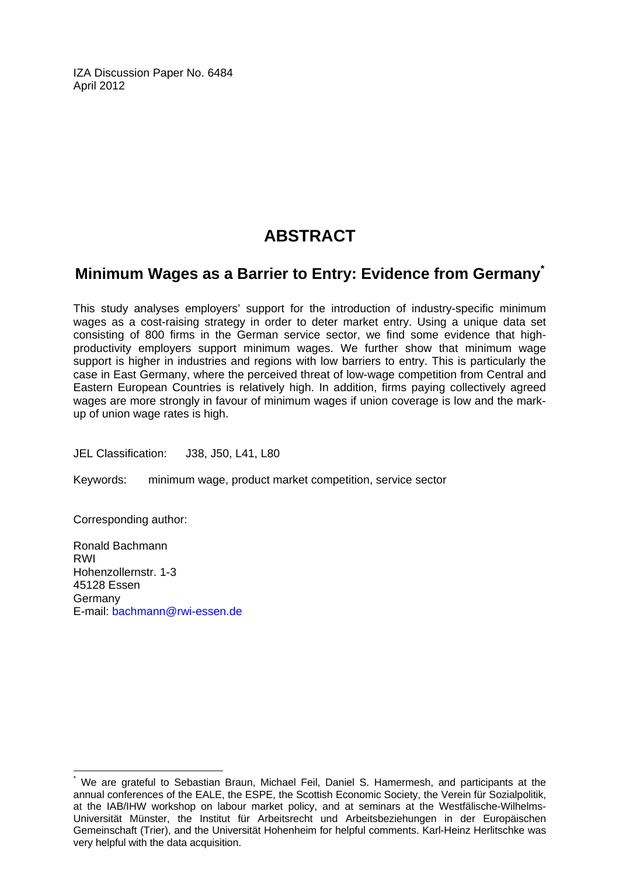IZA Discussion Paper No. 6484 April 2012

# **ABSTRACT**

## **Minimum Wages as a Barrier to Entry: Evidence from Germany[\\*](#page-2-0)**

This study analyses employers' support for the introduction of industry-specific minimum wages as a cost-raising strategy in order to deter market entry. Using a unique data set consisting of 800 firms in the German service sector, we find some evidence that highproductivity employers support minimum wages. We further show that minimum wage support is higher in industries and regions with low barriers to entry. This is particularly the case in East Germany, where the perceived threat of low-wage competition from Central and Eastern European Countries is relatively high. In addition, firms paying collectively agreed wages are more strongly in favour of minimum wages if union coverage is low and the markup of union wage rates is high.

JEL Classification: J38, J50, L41, L80

Keywords: minimum wage, product market competition, service sector

Corresponding author:

 $\overline{a}$ 

Ronald Bachmann RWI Hohenzollernstr. 1-3 45128 Essen Germany E-mail: [bachmann@rwi-essen.de](mailto:bachmann@rwi-essen.de) 

<span id="page-2-0"></span><sup>\*</sup> We are grateful to Sebastian Braun, Michael Feil, Daniel S. Hamermesh, and participants at the annual conferences of the EALE, the ESPE, the Scottish Economic Society, the Verein für Sozialpolitik, at the IAB/IHW workshop on labour market policy, and at seminars at the Westfälische-Wilhelms-Universität Münster, the Institut für Arbeitsrecht und Arbeitsbeziehungen in der Europäischen Gemeinschaft (Trier), and the Universität Hohenheim for helpful comments. Karl-Heinz Herlitschke was very helpful with the data acquisition.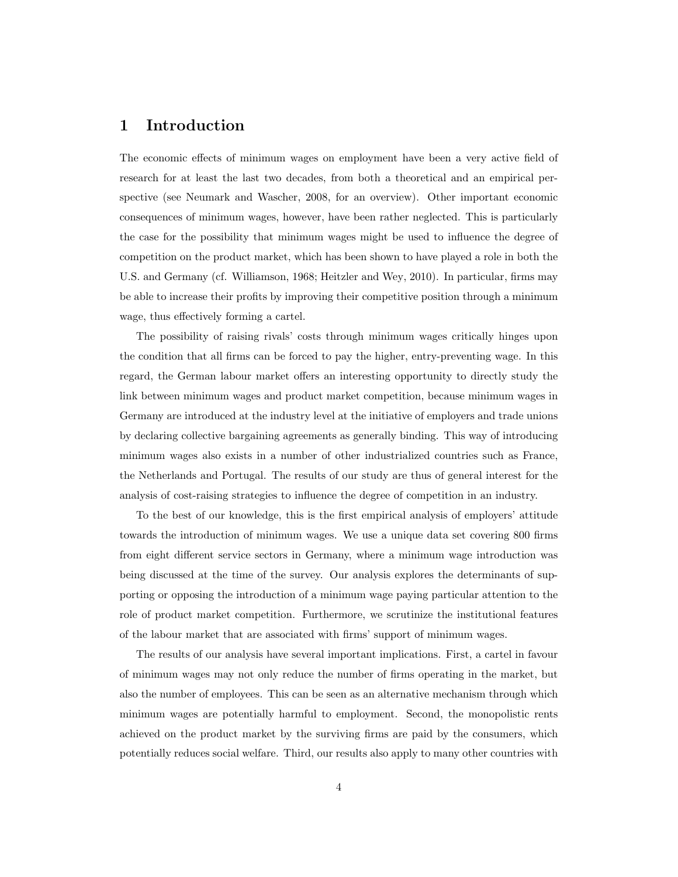#### 1 Introduction

The economic effects of minimum wages on employment have been a very active field of research for at least the last two decades, from both a theoretical and an empirical perspective (see Neumark and Wascher, 2008, for an overview). Other important economic consequences of minimum wages, however, have been rather neglected. This is particularly the case for the possibility that minimum wages might be used to influence the degree of competition on the product market, which has been shown to have played a role in both the U.S. and Germany (cf. Williamson, 1968; Heitzler and Wey, 2010). In particular, firms may be able to increase their profits by improving their competitive position through a minimum wage, thus effectively forming a cartel.

The possibility of raising rivals' costs through minimum wages critically hinges upon the condition that all firms can be forced to pay the higher, entry-preventing wage. In this regard, the German labour market offers an interesting opportunity to directly study the link between minimum wages and product market competition, because minimum wages in Germany are introduced at the industry level at the initiative of employers and trade unions by declaring collective bargaining agreements as generally binding. This way of introducing minimum wages also exists in a number of other industrialized countries such as France, the Netherlands and Portugal. The results of our study are thus of general interest for the analysis of cost-raising strategies to influence the degree of competition in an industry.

To the best of our knowledge, this is the first empirical analysis of employers' attitude towards the introduction of minimum wages. We use a unique data set covering 800 firms from eight different service sectors in Germany, where a minimum wage introduction was being discussed at the time of the survey. Our analysis explores the determinants of supporting or opposing the introduction of a minimum wage paying particular attention to the role of product market competition. Furthermore, we scrutinize the institutional features of the labour market that are associated with firms' support of minimum wages.

The results of our analysis have several important implications. First, a cartel in favour of minimum wages may not only reduce the number of firms operating in the market, but also the number of employees. This can be seen as an alternative mechanism through which minimum wages are potentially harmful to employment. Second, the monopolistic rents achieved on the product market by the surviving firms are paid by the consumers, which potentially reduces social welfare. Third, our results also apply to many other countries with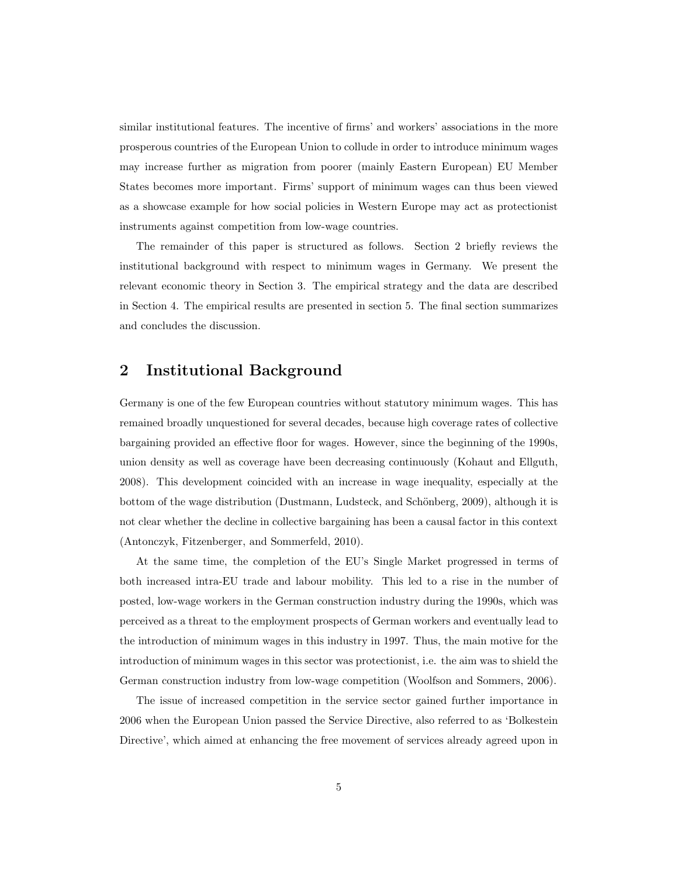similar institutional features. The incentive of firms' and workers' associations in the more prosperous countries of the European Union to collude in order to introduce minimum wages may increase further as migration from poorer (mainly Eastern European) EU Member States becomes more important. Firms' support of minimum wages can thus been viewed as a showcase example for how social policies in Western Europe may act as protectionist instruments against competition from low-wage countries.

The remainder of this paper is structured as follows. Section 2 briefly reviews the institutional background with respect to minimum wages in Germany. We present the relevant economic theory in Section 3. The empirical strategy and the data are described in Section 4. The empirical results are presented in section 5. The final section summarizes and concludes the discussion.

### 2 Institutional Background

Germany is one of the few European countries without statutory minimum wages. This has remained broadly unquestioned for several decades, because high coverage rates of collective bargaining provided an effective floor for wages. However, since the beginning of the 1990s, union density as well as coverage have been decreasing continuously (Kohaut and Ellguth, 2008). This development coincided with an increase in wage inequality, especially at the bottom of the wage distribution (Dustmann, Ludsteck, and Schönberg, 2009), although it is not clear whether the decline in collective bargaining has been a causal factor in this context (Antonczyk, Fitzenberger, and Sommerfeld, 2010).

At the same time, the completion of the EU's Single Market progressed in terms of both increased intra-EU trade and labour mobility. This led to a rise in the number of posted, low-wage workers in the German construction industry during the 1990s, which was perceived as a threat to the employment prospects of German workers and eventually lead to the introduction of minimum wages in this industry in 1997. Thus, the main motive for the introduction of minimum wages in this sector was protectionist, i.e. the aim was to shield the German construction industry from low-wage competition (Woolfson and Sommers, 2006).

The issue of increased competition in the service sector gained further importance in 2006 when the European Union passed the Service Directive, also referred to as 'Bolkestein Directive', which aimed at enhancing the free movement of services already agreed upon in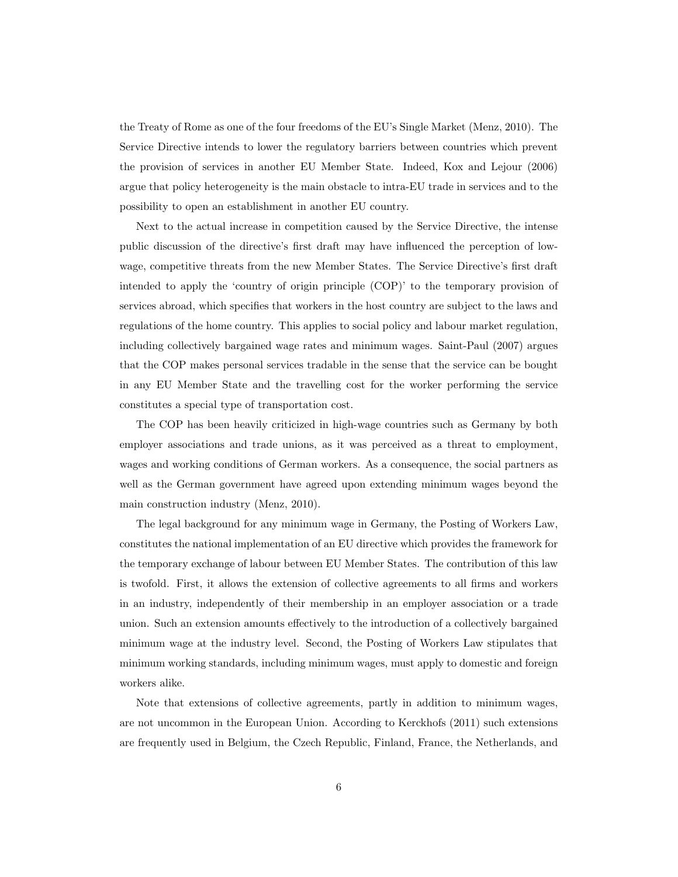the Treaty of Rome as one of the four freedoms of the EU's Single Market (Menz, 2010). The Service Directive intends to lower the regulatory barriers between countries which prevent the provision of services in another EU Member State. Indeed, Kox and Lejour (2006) argue that policy heterogeneity is the main obstacle to intra-EU trade in services and to the possibility to open an establishment in another EU country.

Next to the actual increase in competition caused by the Service Directive, the intense public discussion of the directive's first draft may have influenced the perception of lowwage, competitive threats from the new Member States. The Service Directive's first draft intended to apply the 'country of origin principle (COP)' to the temporary provision of services abroad, which specifies that workers in the host country are subject to the laws and regulations of the home country. This applies to social policy and labour market regulation, including collectively bargained wage rates and minimum wages. Saint-Paul (2007) argues that the COP makes personal services tradable in the sense that the service can be bought in any EU Member State and the travelling cost for the worker performing the service constitutes a special type of transportation cost.

The COP has been heavily criticized in high-wage countries such as Germany by both employer associations and trade unions, as it was perceived as a threat to employment, wages and working conditions of German workers. As a consequence, the social partners as well as the German government have agreed upon extending minimum wages beyond the main construction industry (Menz, 2010).

The legal background for any minimum wage in Germany, the Posting of Workers Law, constitutes the national implementation of an EU directive which provides the framework for the temporary exchange of labour between EU Member States. The contribution of this law is twofold. First, it allows the extension of collective agreements to all firms and workers in an industry, independently of their membership in an employer association or a trade union. Such an extension amounts effectively to the introduction of a collectively bargained minimum wage at the industry level. Second, the Posting of Workers Law stipulates that minimum working standards, including minimum wages, must apply to domestic and foreign workers alike.

Note that extensions of collective agreements, partly in addition to minimum wages, are not uncommon in the European Union. According to Kerckhofs (2011) such extensions are frequently used in Belgium, the Czech Republic, Finland, France, the Netherlands, and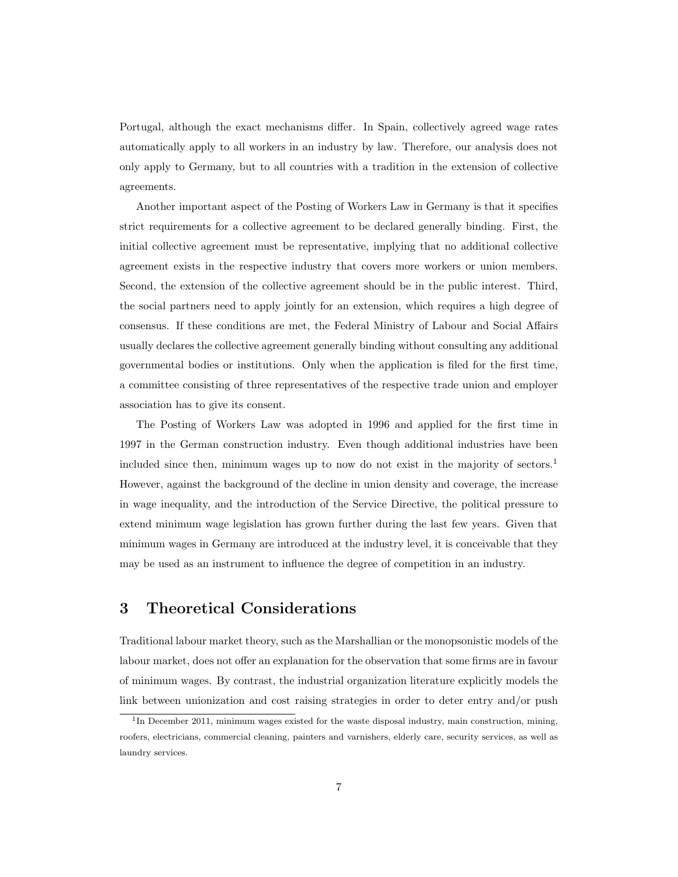Portugal, although the exact mechanisms differ. In Spain, collectively agreed wage rates automatically apply to all workers in an industry by law. Therefore, our analysis does not only apply to Germany, but to all countries with a tradition in the extension of collective agreements.

Another important aspect of the Posting of Workers Law in Germany is that it specifies strict requirements for a collective agreement to be declared generally binding. First, the initial collective agreement must be representative, implying that no additional collective agreement exists in the respective industry that covers more workers or union members. Second, the extension of the collective agreement should be in the public interest. Third, the social partners need to apply jointly for an extension, which requires a high degree of consensus. If these conditions are met, the Federal Ministry of Labour and Social Affairs usually declares the collective agreement generally binding without consulting any additional governmental bodies or institutions. Only when the application is filed for the first time, a committee consisting of three representatives of the respective trade union and employer association has to give its consent.

The Posting of Workers Law was adopted in 1996 and applied for the first time in 1997 in the German construction industry. Even though additional industries have been included since then, minimum wages up to now do not exist in the majority of sectors.<sup>1</sup> However, against the background of the decline in union density and coverage, the increase in wage inequality, and the introduction of the Service Directive, the political pressure to extend minimum wage legislation has grown further during the last few years. Given that minimum wages in Germany are introduced at the industry level, it is conceivable that they may be used as an instrument to influence the degree of competition in an industry.

#### 3 Theoretical Considerations

Traditional labour market theory, such as the Marshallian or the monopsonistic models of the labour market, does not offer an explanation for the observation that some firms are in favour of minimum wages. By contrast, the industrial organization literature explicitly models the link between unionization and cost raising strategies in order to deter entry and/or push

<sup>&</sup>lt;sup>1</sup>In December 2011, minimum wages existed for the waste disposal industry, main construction, mining, roofers, electricians, commercial cleaning, painters and varnishers, elderly care, security services, as well as laundry services.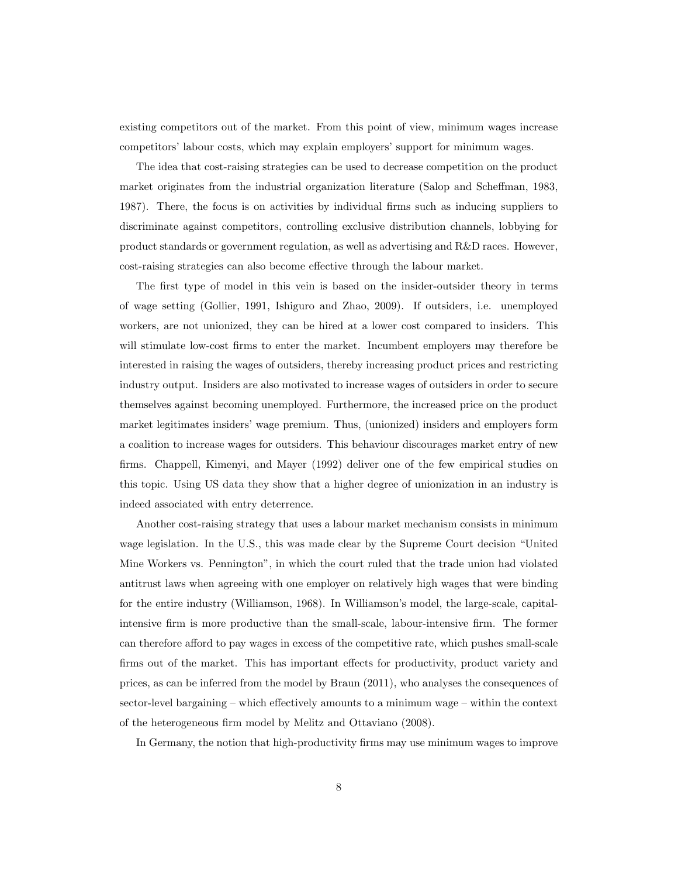existing competitors out of the market. From this point of view, minimum wages increase competitors' labour costs, which may explain employers' support for minimum wages.

The idea that cost-raising strategies can be used to decrease competition on the product market originates from the industrial organization literature (Salop and Scheffman, 1983, 1987). There, the focus is on activities by individual firms such as inducing suppliers to discriminate against competitors, controlling exclusive distribution channels, lobbying for product standards or government regulation, as well as advertising and R&D races. However, cost-raising strategies can also become effective through the labour market.

The first type of model in this vein is based on the insider-outsider theory in terms of wage setting (Gollier, 1991, Ishiguro and Zhao, 2009). If outsiders, i.e. unemployed workers, are not unionized, they can be hired at a lower cost compared to insiders. This will stimulate low-cost firms to enter the market. Incumbent employers may therefore be interested in raising the wages of outsiders, thereby increasing product prices and restricting industry output. Insiders are also motivated to increase wages of outsiders in order to secure themselves against becoming unemployed. Furthermore, the increased price on the product market legitimates insiders' wage premium. Thus, (unionized) insiders and employers form a coalition to increase wages for outsiders. This behaviour discourages market entry of new firms. Chappell, Kimenyi, and Mayer (1992) deliver one of the few empirical studies on this topic. Using US data they show that a higher degree of unionization in an industry is indeed associated with entry deterrence.

Another cost-raising strategy that uses a labour market mechanism consists in minimum wage legislation. In the U.S., this was made clear by the Supreme Court decision "United Mine Workers vs. Pennington", in which the court ruled that the trade union had violated antitrust laws when agreeing with one employer on relatively high wages that were binding for the entire industry (Williamson, 1968). In Williamson's model, the large-scale, capitalintensive firm is more productive than the small-scale, labour-intensive firm. The former can therefore afford to pay wages in excess of the competitive rate, which pushes small-scale firms out of the market. This has important effects for productivity, product variety and prices, as can be inferred from the model by Braun (2011), who analyses the consequences of sector-level bargaining – which effectively amounts to a minimum wage – within the context of the heterogeneous firm model by Melitz and Ottaviano (2008).

In Germany, the notion that high-productivity firms may use minimum wages to improve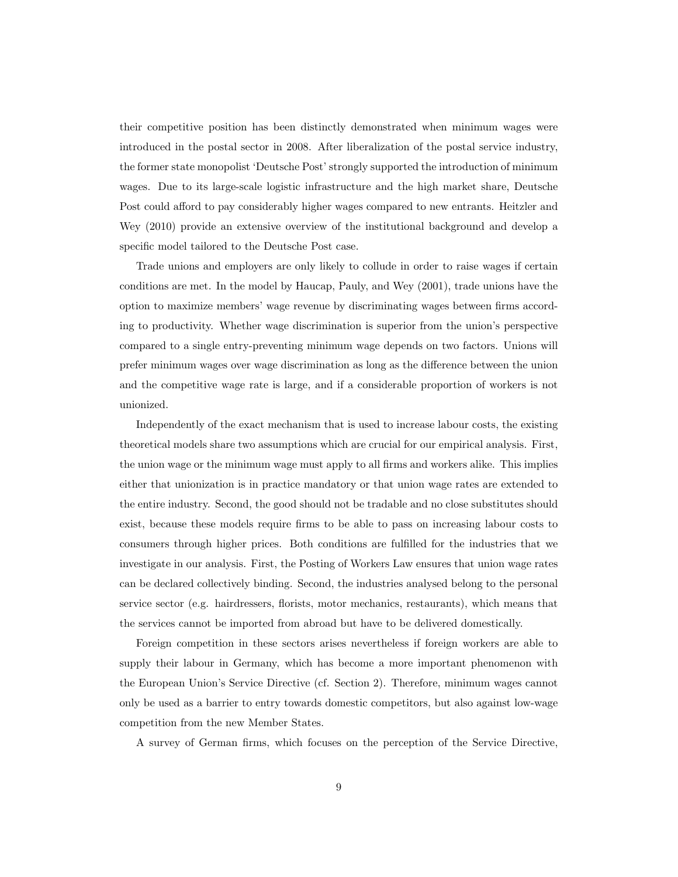their competitive position has been distinctly demonstrated when minimum wages were introduced in the postal sector in 2008. After liberalization of the postal service industry, the former state monopolist 'Deutsche Post' strongly supported the introduction of minimum wages. Due to its large-scale logistic infrastructure and the high market share, Deutsche Post could afford to pay considerably higher wages compared to new entrants. Heitzler and Wey (2010) provide an extensive overview of the institutional background and develop a specific model tailored to the Deutsche Post case.

Trade unions and employers are only likely to collude in order to raise wages if certain conditions are met. In the model by Haucap, Pauly, and Wey (2001), trade unions have the option to maximize members' wage revenue by discriminating wages between firms according to productivity. Whether wage discrimination is superior from the union's perspective compared to a single entry-preventing minimum wage depends on two factors. Unions will prefer minimum wages over wage discrimination as long as the difference between the union and the competitive wage rate is large, and if a considerable proportion of workers is not unionized.

Independently of the exact mechanism that is used to increase labour costs, the existing theoretical models share two assumptions which are crucial for our empirical analysis. First, the union wage or the minimum wage must apply to all firms and workers alike. This implies either that unionization is in practice mandatory or that union wage rates are extended to the entire industry. Second, the good should not be tradable and no close substitutes should exist, because these models require firms to be able to pass on increasing labour costs to consumers through higher prices. Both conditions are fulfilled for the industries that we investigate in our analysis. First, the Posting of Workers Law ensures that union wage rates can be declared collectively binding. Second, the industries analysed belong to the personal service sector (e.g. hairdressers, florists, motor mechanics, restaurants), which means that the services cannot be imported from abroad but have to be delivered domestically.

Foreign competition in these sectors arises nevertheless if foreign workers are able to supply their labour in Germany, which has become a more important phenomenon with the European Union's Service Directive (cf. Section 2). Therefore, minimum wages cannot only be used as a barrier to entry towards domestic competitors, but also against low-wage competition from the new Member States.

A survey of German firms, which focuses on the perception of the Service Directive,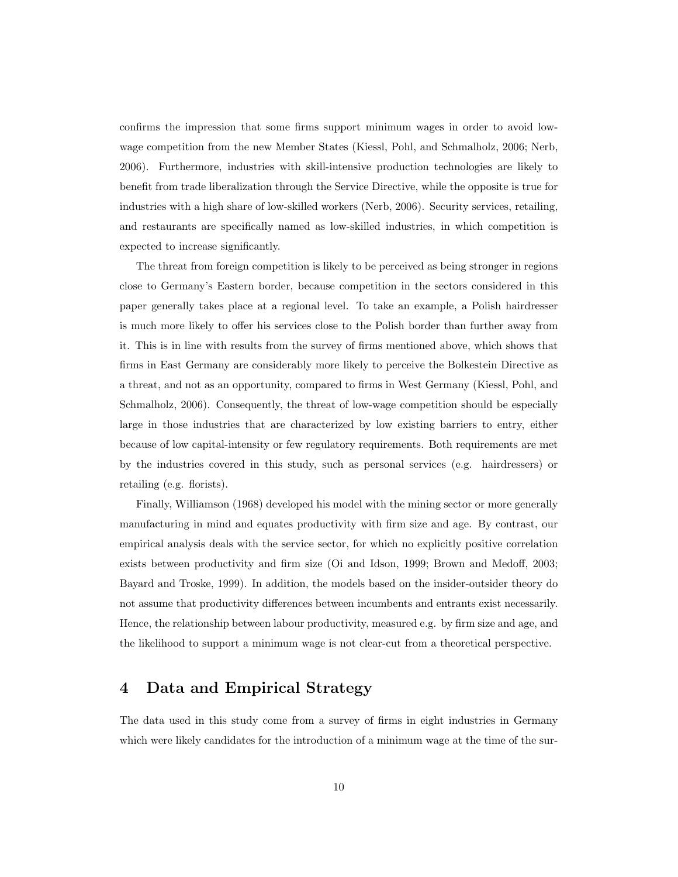confirms the impression that some firms support minimum wages in order to avoid lowwage competition from the new Member States (Kiessl, Pohl, and Schmalholz, 2006; Nerb, 2006). Furthermore, industries with skill-intensive production technologies are likely to benefit from trade liberalization through the Service Directive, while the opposite is true for industries with a high share of low-skilled workers (Nerb, 2006). Security services, retailing, and restaurants are specifically named as low-skilled industries, in which competition is expected to increase significantly.

The threat from foreign competition is likely to be perceived as being stronger in regions close to Germany's Eastern border, because competition in the sectors considered in this paper generally takes place at a regional level. To take an example, a Polish hairdresser is much more likely to offer his services close to the Polish border than further away from it. This is in line with results from the survey of firms mentioned above, which shows that firms in East Germany are considerably more likely to perceive the Bolkestein Directive as a threat, and not as an opportunity, compared to firms in West Germany (Kiessl, Pohl, and Schmalholz, 2006). Consequently, the threat of low-wage competition should be especially large in those industries that are characterized by low existing barriers to entry, either because of low capital-intensity or few regulatory requirements. Both requirements are met by the industries covered in this study, such as personal services (e.g. hairdressers) or retailing (e.g. florists).

Finally, Williamson (1968) developed his model with the mining sector or more generally manufacturing in mind and equates productivity with firm size and age. By contrast, our empirical analysis deals with the service sector, for which no explicitly positive correlation exists between productivity and firm size (Oi and Idson, 1999; Brown and Medoff, 2003; Bayard and Troske, 1999). In addition, the models based on the insider-outsider theory do not assume that productivity differences between incumbents and entrants exist necessarily. Hence, the relationship between labour productivity, measured e.g. by firm size and age, and the likelihood to support a minimum wage is not clear-cut from a theoretical perspective.

#### 4 Data and Empirical Strategy

The data used in this study come from a survey of firms in eight industries in Germany which were likely candidates for the introduction of a minimum wage at the time of the sur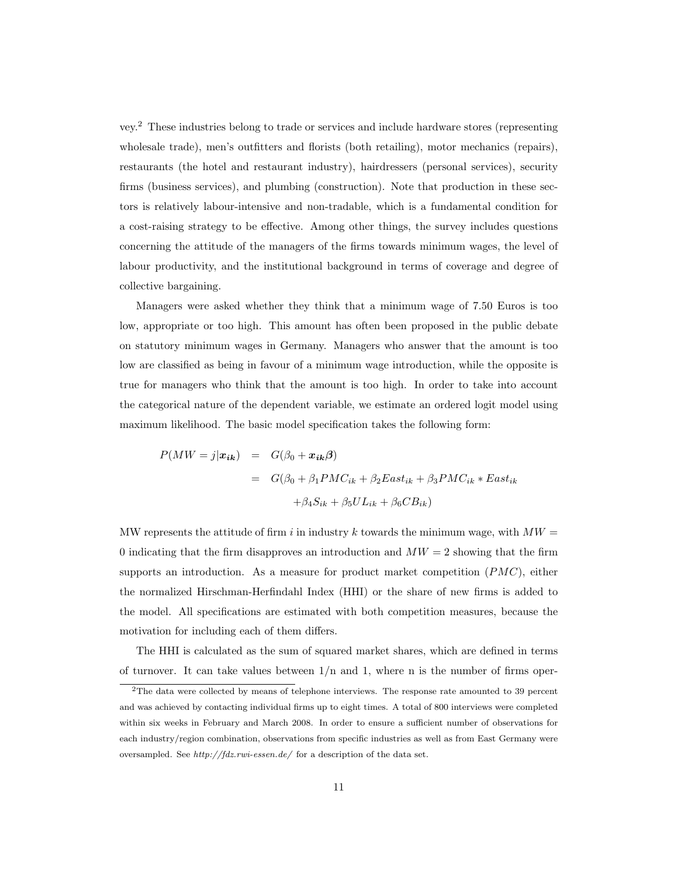vey.<sup>2</sup> These industries belong to trade or services and include hardware stores (representing wholesale trade), men's outfitters and florists (both retailing), motor mechanics (repairs), restaurants (the hotel and restaurant industry), hairdressers (personal services), security firms (business services), and plumbing (construction). Note that production in these sectors is relatively labour-intensive and non-tradable, which is a fundamental condition for a cost-raising strategy to be effective. Among other things, the survey includes questions concerning the attitude of the managers of the firms towards minimum wages, the level of labour productivity, and the institutional background in terms of coverage and degree of collective bargaining.

Managers were asked whether they think that a minimum wage of 7.50 Euros is too low, appropriate or too high. This amount has often been proposed in the public debate on statutory minimum wages in Germany. Managers who answer that the amount is too low are classified as being in favour of a minimum wage introduction, while the opposite is true for managers who think that the amount is too high. In order to take into account the categorical nature of the dependent variable, we estimate an ordered logit model using maximum likelihood. The basic model specification takes the following form:

$$
P(MW = j|\mathbf{x}_{ik}) = G(\beta_0 + \mathbf{x}_{ik}\boldsymbol{\beta})
$$
  
=  $G(\beta_0 + \beta_1 PMC_{ik} + \beta_2 East_{ik} + \beta_3 PMC_{ik} * East_{ik}$   
 $+ \beta_4 S_{ik} + \beta_5 UL_{ik} + \beta_6 CB_{ik})$ 

MW represents the attitude of firm i in industry k towards the minimum wage, with  $MW =$ 0 indicating that the firm disapproves an introduction and  $MW = 2$  showing that the firm supports an introduction. As a measure for product market competition  $(PMC)$ , either the normalized Hirschman-Herfindahl Index (HHI) or the share of new firms is added to the model. All specifications are estimated with both competition measures, because the motivation for including each of them differs.

The HHI is calculated as the sum of squared market shares, which are defined in terms of turnover. It can take values between  $1/n$  and 1, where n is the number of firms oper-

<sup>2</sup>The data were collected by means of telephone interviews. The response rate amounted to 39 percent and was achieved by contacting individual firms up to eight times. A total of 800 interviews were completed within six weeks in February and March 2008. In order to ensure a sufficient number of observations for each industry/region combination, observations from specific industries as well as from East Germany were oversampled. See http://fdz.rwi-essen.de/ for a description of the data set.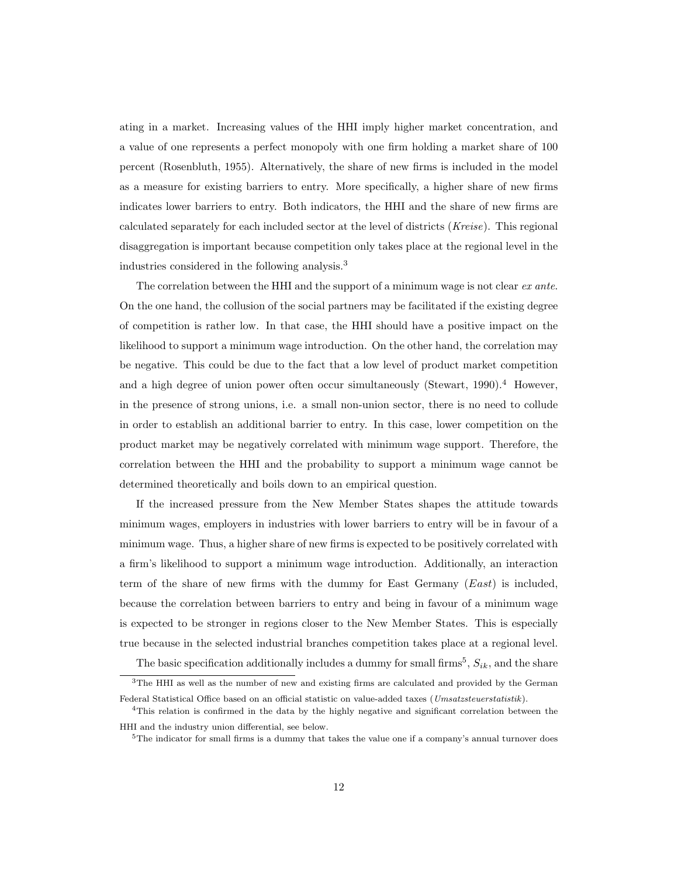ating in a market. Increasing values of the HHI imply higher market concentration, and a value of one represents a perfect monopoly with one firm holding a market share of 100 percent (Rosenbluth, 1955). Alternatively, the share of new firms is included in the model as a measure for existing barriers to entry. More specifically, a higher share of new firms indicates lower barriers to entry. Both indicators, the HHI and the share of new firms are calculated separately for each included sector at the level of districts  $(Kreise)$ . This regional disaggregation is important because competition only takes place at the regional level in the industries considered in the following analysis.<sup>3</sup>

The correlation between the HHI and the support of a minimum wage is not clear ex ante. On the one hand, the collusion of the social partners may be facilitated if the existing degree of competition is rather low. In that case, the HHI should have a positive impact on the likelihood to support a minimum wage introduction. On the other hand, the correlation may be negative. This could be due to the fact that a low level of product market competition and a high degree of union power often occur simultaneously (Stewart,  $1990$ ).<sup>4</sup> However, in the presence of strong unions, i.e. a small non-union sector, there is no need to collude in order to establish an additional barrier to entry. In this case, lower competition on the product market may be negatively correlated with minimum wage support. Therefore, the correlation between the HHI and the probability to support a minimum wage cannot be determined theoretically and boils down to an empirical question.

If the increased pressure from the New Member States shapes the attitude towards minimum wages, employers in industries with lower barriers to entry will be in favour of a minimum wage. Thus, a higher share of new firms is expected to be positively correlated with a firm's likelihood to support a minimum wage introduction. Additionally, an interaction term of the share of new firms with the dummy for East Germany (East) is included, because the correlation between barriers to entry and being in favour of a minimum wage is expected to be stronger in regions closer to the New Member States. This is especially true because in the selected industrial branches competition takes place at a regional level.

The basic specification additionally includes a dummy for small firms<sup>5</sup>,  $S_{ik}$ , and the share

<sup>&</sup>lt;sup>3</sup>The HHI as well as the number of new and existing firms are calculated and provided by the German Federal Statistical Office based on an official statistic on value-added taxes (Umsatzsteuerstatistik).

<sup>4</sup>This relation is confirmed in the data by the highly negative and significant correlation between the HHI and the industry union differential, see below.

<sup>&</sup>lt;sup>5</sup>The indicator for small firms is a dummy that takes the value one if a company's annual turnover does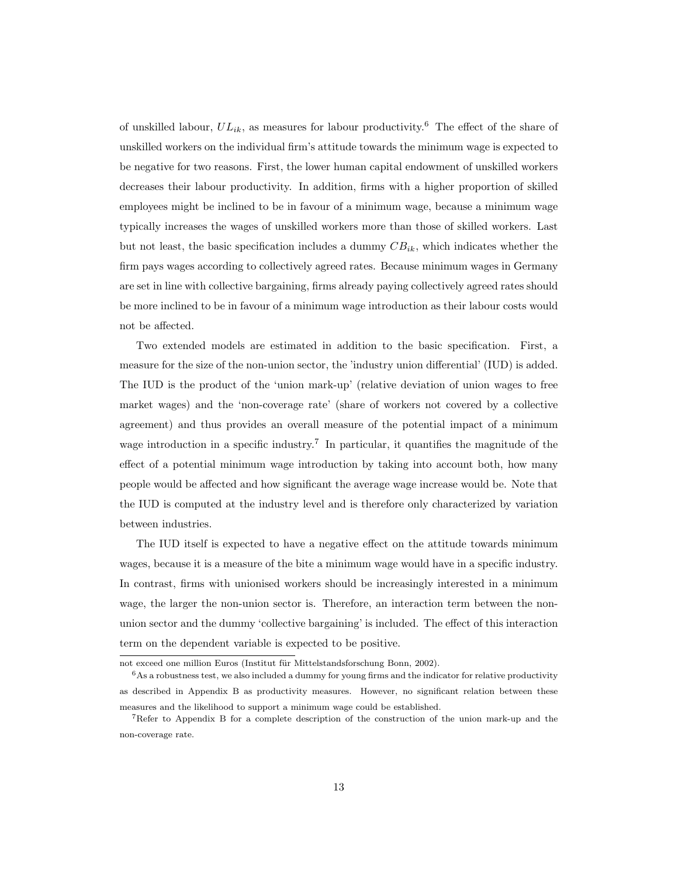of unskilled labour,  $UL_{ik}$ , as measures for labour productivity.<sup>6</sup> The effect of the share of unskilled workers on the individual firm's attitude towards the minimum wage is expected to be negative for two reasons. First, the lower human capital endowment of unskilled workers decreases their labour productivity. In addition, firms with a higher proportion of skilled employees might be inclined to be in favour of a minimum wage, because a minimum wage typically increases the wages of unskilled workers more than those of skilled workers. Last but not least, the basic specification includes a dummy  $CB_{ik}$ , which indicates whether the firm pays wages according to collectively agreed rates. Because minimum wages in Germany are set in line with collective bargaining, firms already paying collectively agreed rates should be more inclined to be in favour of a minimum wage introduction as their labour costs would not be affected.

Two extended models are estimated in addition to the basic specification. First, a measure for the size of the non-union sector, the 'industry union differential' (IUD) is added. The IUD is the product of the 'union mark-up' (relative deviation of union wages to free market wages) and the 'non-coverage rate' (share of workers not covered by a collective agreement) and thus provides an overall measure of the potential impact of a minimum wage introduction in a specific industry.<sup>7</sup> In particular, it quantifies the magnitude of the effect of a potential minimum wage introduction by taking into account both, how many people would be affected and how significant the average wage increase would be. Note that the IUD is computed at the industry level and is therefore only characterized by variation between industries.

The IUD itself is expected to have a negative effect on the attitude towards minimum wages, because it is a measure of the bite a minimum wage would have in a specific industry. In contrast, firms with unionised workers should be increasingly interested in a minimum wage, the larger the non-union sector is. Therefore, an interaction term between the nonunion sector and the dummy 'collective bargaining' is included. The effect of this interaction term on the dependent variable is expected to be positive.

not exceed one million Euros (Institut für Mittelstandsforschung Bonn, 2002).

 $6$ As a robustness test, we also included a dummy for young firms and the indicator for relative productivity as described in Appendix B as productivity measures. However, no significant relation between these measures and the likelihood to support a minimum wage could be established.

<sup>7</sup>Refer to Appendix B for a complete description of the construction of the union mark-up and the non-coverage rate.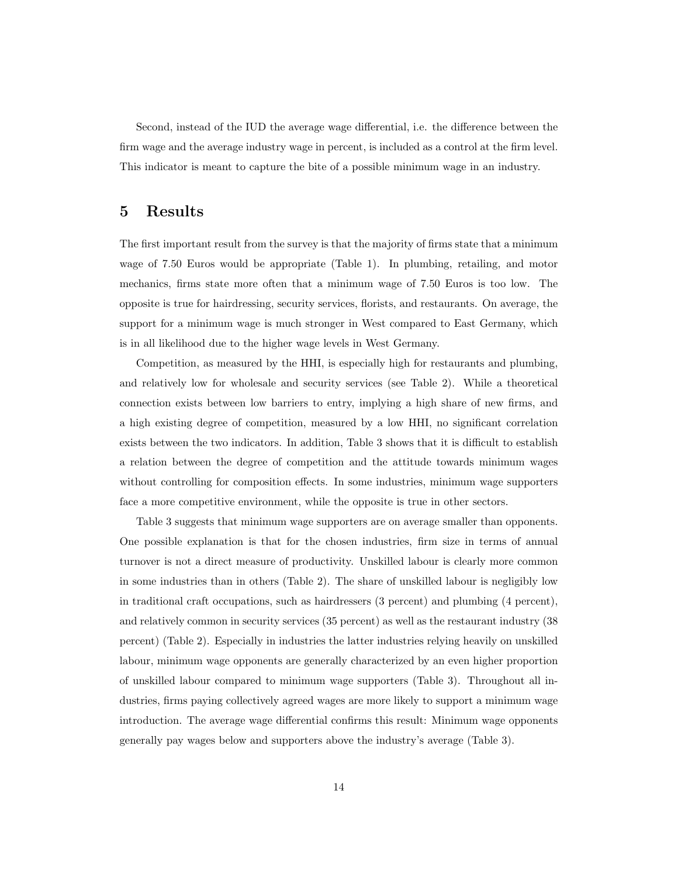Second, instead of the IUD the average wage differential, i.e. the difference between the firm wage and the average industry wage in percent, is included as a control at the firm level. This indicator is meant to capture the bite of a possible minimum wage in an industry.

#### 5 Results

The first important result from the survey is that the majority of firms state that a minimum wage of 7.50 Euros would be appropriate (Table 1). In plumbing, retailing, and motor mechanics, firms state more often that a minimum wage of 7.50 Euros is too low. The opposite is true for hairdressing, security services, florists, and restaurants. On average, the support for a minimum wage is much stronger in West compared to East Germany, which is in all likelihood due to the higher wage levels in West Germany.

Competition, as measured by the HHI, is especially high for restaurants and plumbing, and relatively low for wholesale and security services (see Table 2). While a theoretical connection exists between low barriers to entry, implying a high share of new firms, and a high existing degree of competition, measured by a low HHI, no significant correlation exists between the two indicators. In addition, Table 3 shows that it is difficult to establish a relation between the degree of competition and the attitude towards minimum wages without controlling for composition effects. In some industries, minimum wage supporters face a more competitive environment, while the opposite is true in other sectors.

Table 3 suggests that minimum wage supporters are on average smaller than opponents. One possible explanation is that for the chosen industries, firm size in terms of annual turnover is not a direct measure of productivity. Unskilled labour is clearly more common in some industries than in others (Table 2). The share of unskilled labour is negligibly low in traditional craft occupations, such as hairdressers (3 percent) and plumbing (4 percent), and relatively common in security services (35 percent) as well as the restaurant industry (38 percent) (Table 2). Especially in industries the latter industries relying heavily on unskilled labour, minimum wage opponents are generally characterized by an even higher proportion of unskilled labour compared to minimum wage supporters (Table 3). Throughout all industries, firms paying collectively agreed wages are more likely to support a minimum wage introduction. The average wage differential confirms this result: Minimum wage opponents generally pay wages below and supporters above the industry's average (Table 3).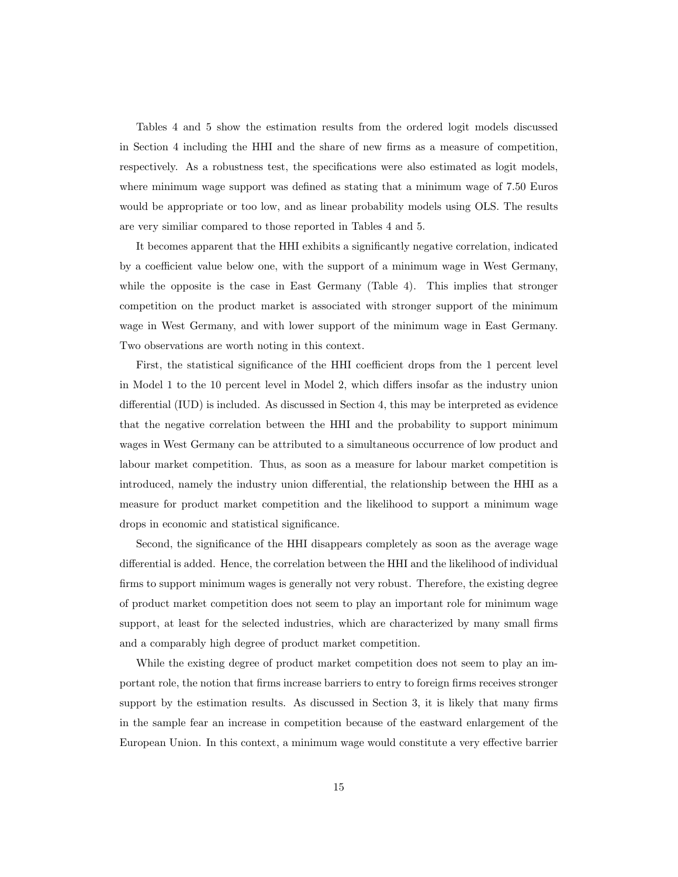Tables 4 and 5 show the estimation results from the ordered logit models discussed in Section 4 including the HHI and the share of new firms as a measure of competition, respectively. As a robustness test, the specifications were also estimated as logit models, where minimum wage support was defined as stating that a minimum wage of 7.50 Euros would be appropriate or too low, and as linear probability models using OLS. The results are very similiar compared to those reported in Tables 4 and 5.

It becomes apparent that the HHI exhibits a significantly negative correlation, indicated by a coefficient value below one, with the support of a minimum wage in West Germany, while the opposite is the case in East Germany (Table 4). This implies that stronger competition on the product market is associated with stronger support of the minimum wage in West Germany, and with lower support of the minimum wage in East Germany. Two observations are worth noting in this context.

First, the statistical significance of the HHI coefficient drops from the 1 percent level in Model 1 to the 10 percent level in Model 2, which differs insofar as the industry union differential (IUD) is included. As discussed in Section 4, this may be interpreted as evidence that the negative correlation between the HHI and the probability to support minimum wages in West Germany can be attributed to a simultaneous occurrence of low product and labour market competition. Thus, as soon as a measure for labour market competition is introduced, namely the industry union differential, the relationship between the HHI as a measure for product market competition and the likelihood to support a minimum wage drops in economic and statistical significance.

Second, the significance of the HHI disappears completely as soon as the average wage differential is added. Hence, the correlation between the HHI and the likelihood of individual firms to support minimum wages is generally not very robust. Therefore, the existing degree of product market competition does not seem to play an important role for minimum wage support, at least for the selected industries, which are characterized by many small firms and a comparably high degree of product market competition.

While the existing degree of product market competition does not seem to play an important role, the notion that firms increase barriers to entry to foreign firms receives stronger support by the estimation results. As discussed in Section 3, it is likely that many firms in the sample fear an increase in competition because of the eastward enlargement of the European Union. In this context, a minimum wage would constitute a very effective barrier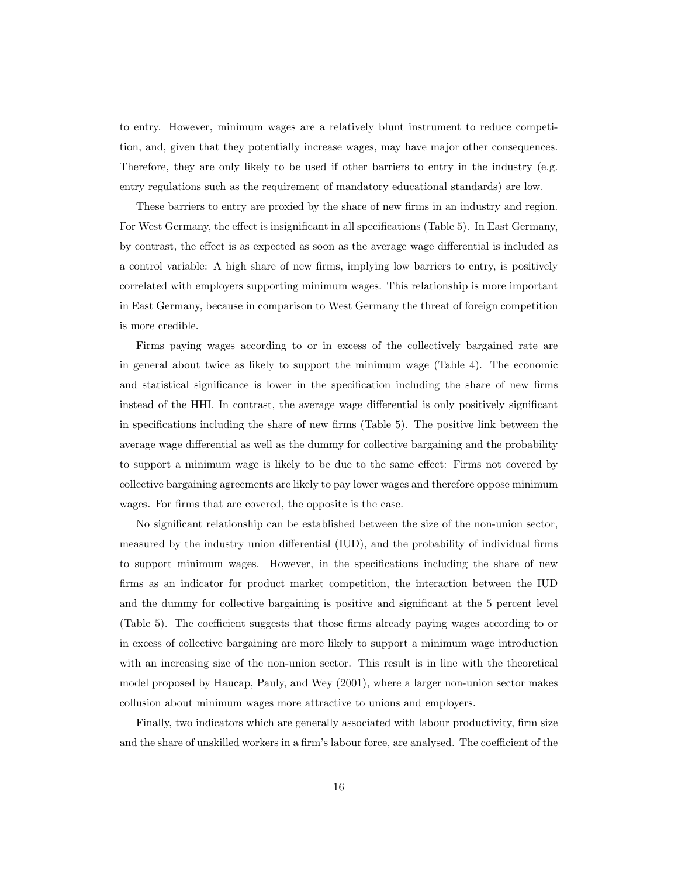to entry. However, minimum wages are a relatively blunt instrument to reduce competition, and, given that they potentially increase wages, may have major other consequences. Therefore, they are only likely to be used if other barriers to entry in the industry (e.g. entry regulations such as the requirement of mandatory educational standards) are low.

These barriers to entry are proxied by the share of new firms in an industry and region. For West Germany, the effect is insignificant in all specifications (Table 5). In East Germany, by contrast, the effect is as expected as soon as the average wage differential is included as a control variable: A high share of new firms, implying low barriers to entry, is positively correlated with employers supporting minimum wages. This relationship is more important in East Germany, because in comparison to West Germany the threat of foreign competition is more credible.

Firms paying wages according to or in excess of the collectively bargained rate are in general about twice as likely to support the minimum wage (Table 4). The economic and statistical significance is lower in the specification including the share of new firms instead of the HHI. In contrast, the average wage differential is only positively significant in specifications including the share of new firms (Table 5). The positive link between the average wage differential as well as the dummy for collective bargaining and the probability to support a minimum wage is likely to be due to the same effect: Firms not covered by collective bargaining agreements are likely to pay lower wages and therefore oppose minimum wages. For firms that are covered, the opposite is the case.

No significant relationship can be established between the size of the non-union sector, measured by the industry union differential (IUD), and the probability of individual firms to support minimum wages. However, in the specifications including the share of new firms as an indicator for product market competition, the interaction between the IUD and the dummy for collective bargaining is positive and significant at the 5 percent level (Table 5). The coefficient suggests that those firms already paying wages according to or in excess of collective bargaining are more likely to support a minimum wage introduction with an increasing size of the non-union sector. This result is in line with the theoretical model proposed by Haucap, Pauly, and Wey (2001), where a larger non-union sector makes collusion about minimum wages more attractive to unions and employers.

Finally, two indicators which are generally associated with labour productivity, firm size and the share of unskilled workers in a firm's labour force, are analysed. The coefficient of the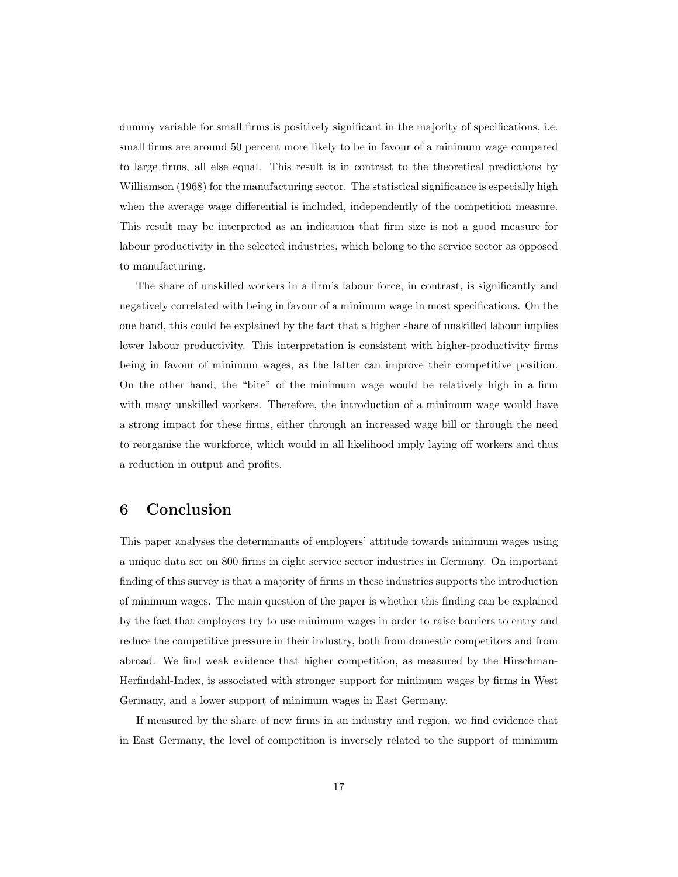dummy variable for small firms is positively significant in the majority of specifications, i.e. small firms are around 50 percent more likely to be in favour of a minimum wage compared to large firms, all else equal. This result is in contrast to the theoretical predictions by Williamson (1968) for the manufacturing sector. The statistical significance is especially high when the average wage differential is included, independently of the competition measure. This result may be interpreted as an indication that firm size is not a good measure for labour productivity in the selected industries, which belong to the service sector as opposed to manufacturing.

The share of unskilled workers in a firm's labour force, in contrast, is significantly and negatively correlated with being in favour of a minimum wage in most specifications. On the one hand, this could be explained by the fact that a higher share of unskilled labour implies lower labour productivity. This interpretation is consistent with higher-productivity firms being in favour of minimum wages, as the latter can improve their competitive position. On the other hand, the "bite" of the minimum wage would be relatively high in a firm with many unskilled workers. Therefore, the introduction of a minimum wage would have a strong impact for these firms, either through an increased wage bill or through the need to reorganise the workforce, which would in all likelihood imply laying off workers and thus a reduction in output and profits.

#### 6 Conclusion

This paper analyses the determinants of employers' attitude towards minimum wages using a unique data set on 800 firms in eight service sector industries in Germany. On important finding of this survey is that a majority of firms in these industries supports the introduction of minimum wages. The main question of the paper is whether this finding can be explained by the fact that employers try to use minimum wages in order to raise barriers to entry and reduce the competitive pressure in their industry, both from domestic competitors and from abroad. We find weak evidence that higher competition, as measured by the Hirschman-Herfindahl-Index, is associated with stronger support for minimum wages by firms in West Germany, and a lower support of minimum wages in East Germany.

If measured by the share of new firms in an industry and region, we find evidence that in East Germany, the level of competition is inversely related to the support of minimum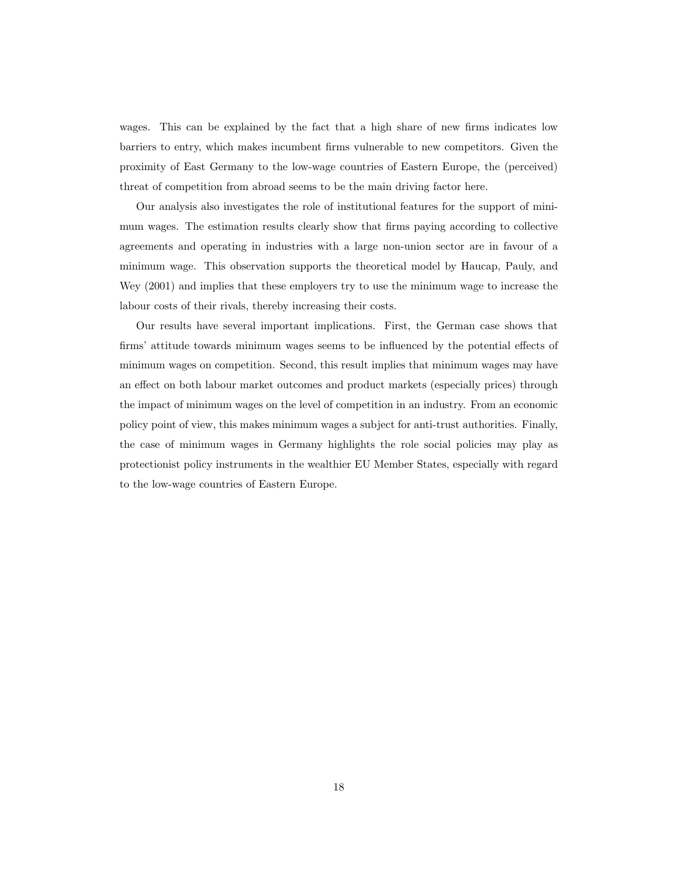wages. This can be explained by the fact that a high share of new firms indicates low barriers to entry, which makes incumbent firms vulnerable to new competitors. Given the proximity of East Germany to the low-wage countries of Eastern Europe, the (perceived) threat of competition from abroad seems to be the main driving factor here.

Our analysis also investigates the role of institutional features for the support of minimum wages. The estimation results clearly show that firms paying according to collective agreements and operating in industries with a large non-union sector are in favour of a minimum wage. This observation supports the theoretical model by Haucap, Pauly, and Wey (2001) and implies that these employers try to use the minimum wage to increase the labour costs of their rivals, thereby increasing their costs.

Our results have several important implications. First, the German case shows that firms' attitude towards minimum wages seems to be influenced by the potential effects of minimum wages on competition. Second, this result implies that minimum wages may have an effect on both labour market outcomes and product markets (especially prices) through the impact of minimum wages on the level of competition in an industry. From an economic policy point of view, this makes minimum wages a subject for anti-trust authorities. Finally, the case of minimum wages in Germany highlights the role social policies may play as protectionist policy instruments in the wealthier EU Member States, especially with regard to the low-wage countries of Eastern Europe.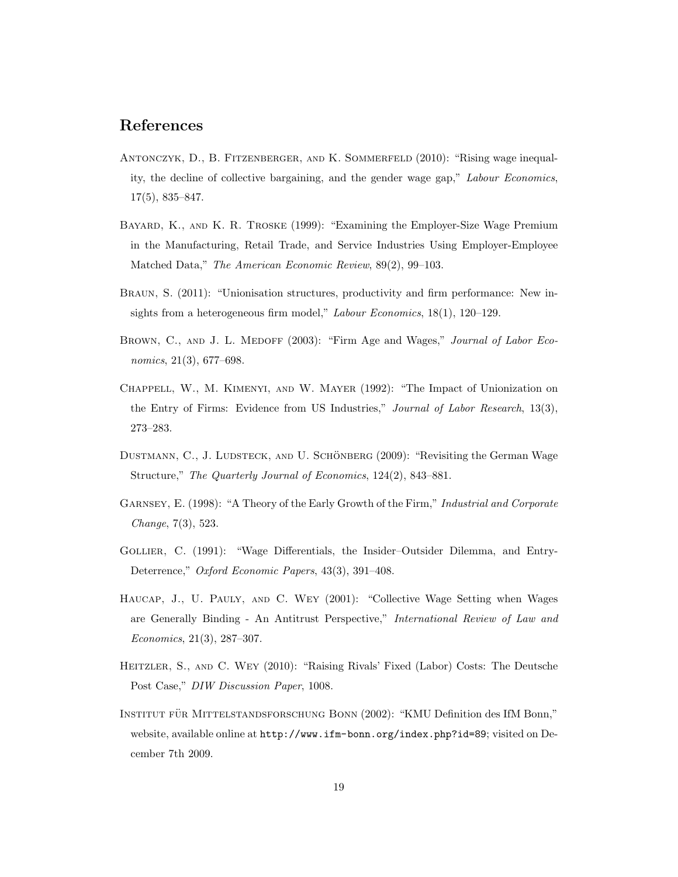#### References

- Antonczyk, D., B. Fitzenberger, and K. Sommerfeld (2010): "Rising wage inequality, the decline of collective bargaining, and the gender wage gap," Labour Economics, 17(5), 835–847.
- Bayard, K., and K. R. Troske (1999): "Examining the Employer-Size Wage Premium in the Manufacturing, Retail Trade, and Service Industries Using Employer-Employee Matched Data," The American Economic Review, 89(2), 99–103.
- Braun, S. (2011): "Unionisation structures, productivity and firm performance: New insights from a heterogeneous firm model," Labour Economics, 18(1), 120–129.
- BROWN, C., AND J. L. MEDOFF (2003): "Firm Age and Wages," Journal of Labor Economics, 21(3), 677–698.
- Chappell, W., M. Kimenyi, and W. Mayer (1992): "The Impact of Unionization on the Entry of Firms: Evidence from US Industries," Journal of Labor Research, 13(3), 273–283.
- DUSTMANN, C., J. LUDSTECK, AND U. SCHÖNBERG (2009): "Revisiting the German Wage Structure," The Quarterly Journal of Economics, 124(2), 843–881.
- GARNSEY, E. (1998): "A Theory of the Early Growth of the Firm," Industrial and Corporate Change, 7(3), 523.
- Gollier, C. (1991): "Wage Differentials, the Insider–Outsider Dilemma, and Entry-Deterrence," Oxford Economic Papers, 43(3), 391–408.
- Haucap, J., U. Pauly, and C. Wey (2001): "Collective Wage Setting when Wages are Generally Binding - An Antitrust Perspective," International Review of Law and Economics, 21(3), 287–307.
- HEITZLER, S., AND C. WEY (2010): "Raising Rivals' Fixed (Labor) Costs: The Deutsche Post Case," DIW Discussion Paper, 1008.
- INSTITUT FÜR MITTELSTANDSFORSCHUNG BONN (2002): "KMU Definition des IfM Bonn," website, available online at http://www.ifm-bonn.org/index.php?id=89; visited on December 7th 2009.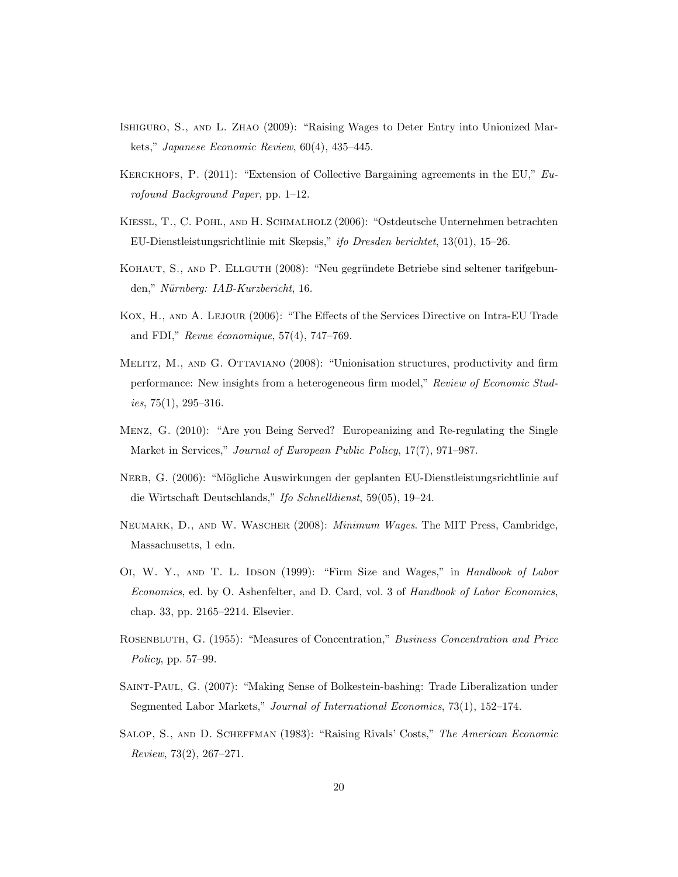- Ishiguro, S., and L. Zhao (2009): "Raising Wages to Deter Entry into Unionized Markets," Japanese Economic Review, 60(4), 435–445.
- KERCKHOFS, P. (2011): "Extension of Collective Bargaining agreements in the EU," Eurofound Background Paper, pp. 1–12.
- Kiessl, T., C. Pohl, and H. Schmalholz (2006): "Ostdeutsche Unternehmen betrachten EU-Dienstleistungsrichtlinie mit Skepsis," ifo Dresden berichtet, 13(01), 15–26.
- KOHAUT, S., AND P. ELLGUTH (2008): "Neu gegründete Betriebe sind seltener tarifgebunden," Nürnberg: IAB-Kurzbericht, 16.
- Kox, H., and A. Lejour (2006): "The Effects of the Services Directive on Intra-EU Trade and FDI," Revue économique,  $57(4)$ ,  $747-769$ .
- Melitz, M., and G. Ottaviano (2008): "Unionisation structures, productivity and firm performance: New insights from a heterogeneous firm model," Review of Economic Studies, 75 $(1)$ , 295-316.
- Menz, G. (2010): "Are you Being Served? Europeanizing and Re-regulating the Single Market in Services," Journal of European Public Policy, 17(7), 971–987.
- NERB, G. (2006): "Mögliche Auswirkungen der geplanten EU-Dienstleistungsrichtlinie auf die Wirtschaft Deutschlands," Ifo Schnelldienst, 59(05), 19–24.
- NEUMARK, D., AND W. WASCHER (2008): *Minimum Wages*. The MIT Press, Cambridge, Massachusetts, 1 edn.
- OI, W. Y., AND T. L. IDSON (1999): "Firm Size and Wages," in *Handbook of Labor* Economics, ed. by O. Ashenfelter, and D. Card, vol. 3 of Handbook of Labor Economics, chap. 33, pp. 2165–2214. Elsevier.
- Rosenbluth, G. (1955): "Measures of Concentration," Business Concentration and Price Policy, pp. 57–99.
- Saint-Paul, G. (2007): "Making Sense of Bolkestein-bashing: Trade Liberalization under Segmented Labor Markets," Journal of International Economics, 73(1), 152–174.
- Salop, S., and D. Scheffman (1983): "Raising Rivals' Costs," The American Economic Review, 73(2), 267–271.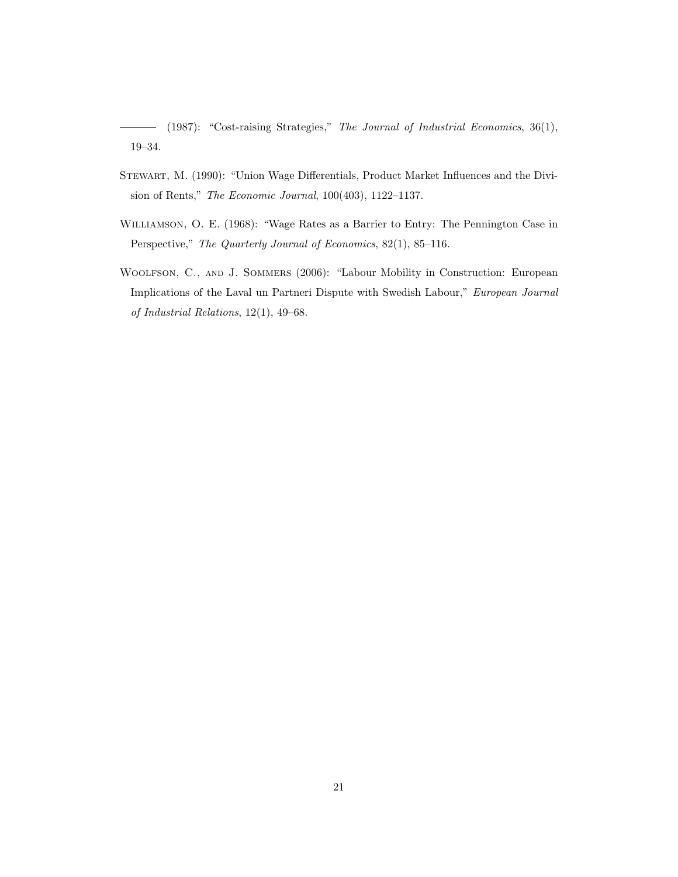(1987): "Cost-raising Strategies," The Journal of Industrial Economics, 36(1), 19–34.

- Stewart, M. (1990): "Union Wage Differentials, Product Market Influences and the Division of Rents," The Economic Journal, 100(403), 1122–1137.
- Williamson, O. E. (1968): "Wage Rates as a Barrier to Entry: The Pennington Case in Perspective," The Quarterly Journal of Economics, 82(1), 85–116.
- Woolfson, C., and J. Sommers (2006): "Labour Mobility in Construction: European Implications of the Laval un Partneri Dispute with Swedish Labour," European Journal of Industrial Relations, 12(1), 49–68.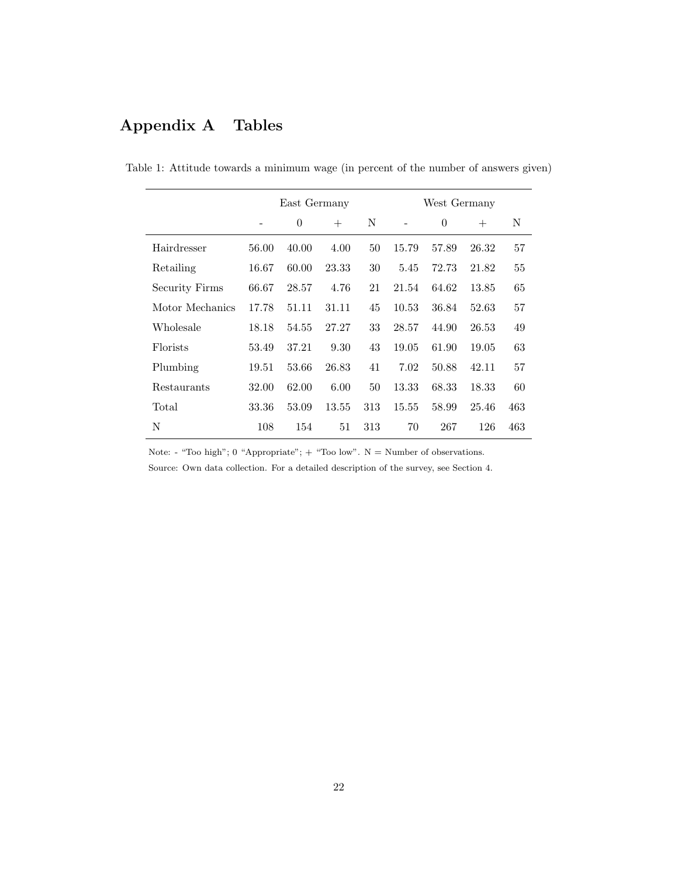## Appendix A Tables

|                       |       | East Germany |        |     |       | West Germany |        |     |
|-----------------------|-------|--------------|--------|-----|-------|--------------|--------|-----|
|                       |       | $\theta$     | $^{+}$ | N   |       | $\theta$     | $^{+}$ | N   |
| Hairdresser           | 56.00 | 40.00        | 4.00   | 50  | 15.79 | 57.89        | 26.32  | 57  |
| Retailing             | 16.67 | 60.00        | 23.33  | 30  | 5.45  | 72.73        | 21.82  | 55  |
| <b>Security Firms</b> | 66.67 | 28.57        | 4.76   | 21  | 21.54 | 64.62        | 13.85  | 65  |
| Motor Mechanics       | 17.78 | 51.11        | 31.11  | 45  | 10.53 | 36.84        | 52.63  | 57  |
| Wholesale             | 18.18 | 54.55        | 27.27  | 33  | 28.57 | 44.90        | 26.53  | 49  |
| Florists              | 53.49 | 37.21        | 9.30   | 43  | 19.05 | 61.90        | 19.05  | 63  |
| Plumbing              | 19.51 | 53.66        | 26.83  | 41  | 7.02  | 50.88        | 42.11  | 57  |
| Restaurants           | 32.00 | 62.00        | 6.00   | 50  | 13.33 | 68.33        | 18.33  | 60  |
| Total                 | 33.36 | 53.09        | 13.55  | 313 | 15.55 | 58.99        | 25.46  | 463 |
| N                     | 108   | 154          | 51     | 313 | 70    | 267          | 126    | 463 |

Table 1: Attitude towards a minimum wage (in percent of the number of answers given)

Note: - "Too high"; 0 "Appropriate"; + "Too low".  $N =$  Number of observations.

Source: Own data collection. For a detailed description of the survey, see Section 4.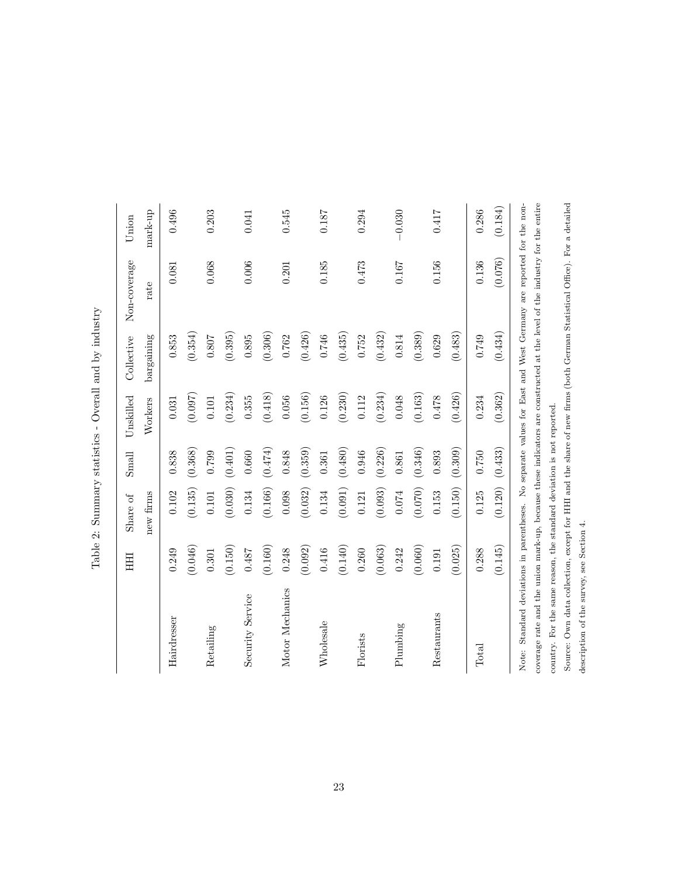| ۱,<br>ׇ֚֘                                                                                                 |
|-----------------------------------------------------------------------------------------------------------|
| $\frac{1}{2}$                                                                                             |
| r<br>C<br>֧֖֖֧ׅ֧֧ׅ֧֧֧֧֧֧֧֧֧֧֧֪֪֪֪ׅ֧֧֧֧֧֧֧֧֚֚֚֚֚֚֚֚֚֚֚֚֚֚֚֚֚֚֚֚֚֡֓֬֓֝֬֓֝֬֝֬֝֬֝֬֝֬֝֬֝֬֝֬֝֬֬                 |
| l<br>\$<br>ι                                                                                              |
| I<br>ļ<br>$\frac{1}{2}$                                                                                   |
| CO CANNA C<br>֖֖֖֖֖֖֧֪ׅ֖ׅ֪ׅ֖֧ׅ֪ׅ֖֧֪ׅ֖֧֖֧ׅ֖֧֪֧֪ׅ֪֪֪֧֪֪֧֪֪֧֪֧֚֚֚֚֚֚֚֚֚֚֚֚֚֚֚֚֚֚֚֚֚֚֚֚֚֚֚֚֚֬֝֝֝֝֬֝֬֝֬֝֬<br>ì |
| ĺ                                                                                                         |
| $\frac{1}{2}$<br>ı                                                                                        |

| HHI       | Share of  | Small   | Unskilled | Collective                                                            | Non-coverage | Union                                                                                                                                                                                                                                         |
|-----------|-----------|---------|-----------|-----------------------------------------------------------------------|--------------|-----------------------------------------------------------------------------------------------------------------------------------------------------------------------------------------------------------------------------------------------|
|           | new firms |         | Workers   | $\operatorname{bargaining}$                                           | rate         | mark-up                                                                                                                                                                                                                                       |
| 0.249     | 0.102     | 0.838   | 0.031     | 0.853                                                                 | 0.081        | 0.496                                                                                                                                                                                                                                         |
| (0.046)   | (0.135)   | (0.368) | (0.097)   | (0.354)                                                               |              |                                                                                                                                                                                                                                               |
| $\!0.301$ | $0.101\,$ | 0.799   | $0.101\,$ | 0.807                                                                 | 0.068        | 0.203                                                                                                                                                                                                                                         |
| (0.150)   | (0.030)   | (0.401) | (0.234)   | (0.395)                                                               |              |                                                                                                                                                                                                                                               |
| 0.487     | 0.134     | 0.660   | 0.355     | 0.895                                                                 | 0.006        | 0.041                                                                                                                                                                                                                                         |
| (0.160)   | (0.166)   | (0.474) | (0.418)   | (0.306)                                                               |              |                                                                                                                                                                                                                                               |
| 0.248     | 0.098     | 0.848   | 0.056     | 0.762                                                                 | 0.201        | 0.545                                                                                                                                                                                                                                         |
| (0.092)   | (0.032)   | (0.359) | (0.156)   | (0.426)                                                               |              |                                                                                                                                                                                                                                               |
| 0.416     | 0.134     | 0.361   | 0.126     | 0.746                                                                 | 0.185        | 0.187                                                                                                                                                                                                                                         |
| (0.140)   | (0.091)   | (0.480) | (0.230)   | (0.435)                                                               |              |                                                                                                                                                                                                                                               |
| 0.260     | 0.121     | 0.946   | 0.112     | 0.752                                                                 | 0.473        | 0.294                                                                                                                                                                                                                                         |
| (0.063)   | (0.093)   | (0.226) | (0.234)   | (0.432)                                                               |              |                                                                                                                                                                                                                                               |
| 0.242     | 0.074     | 0.861   | 0.048     | 0.814                                                                 | 0.167        | $-0.030$                                                                                                                                                                                                                                      |
| (0.060)   | (0.070)   | (0.346) | (0.163)   | (0.389)                                                               |              |                                                                                                                                                                                                                                               |
| 0.191     | 0.153     | 0.893   | 0.478     | 0.629                                                                 | 0.156        | 0.417                                                                                                                                                                                                                                         |
| (0.025)   | (0.150)   | (0.309) | (0.426)   | (0.483)                                                               |              |                                                                                                                                                                                                                                               |
| 0.288     | 0.125     | 0.750   | 0.234     | 0.749                                                                 | 0.136        | 0.286                                                                                                                                                                                                                                         |
| (0.145)   |           | (0.433) | (0.362)   | (0.434)                                                               | (0.076)      | (0.184)                                                                                                                                                                                                                                       |
|           |           |         |           |                                                                       |              |                                                                                                                                                                                                                                               |
|           |           |         | (0.120)   | country. For the same reason, the standard deviation is not reported. |              | coverage rate and the union mark-up, because these indicators are constructed at the level of the industry for the entire<br>Note: Standard deviations in parentheses. No separate values for East and West Germany are reported for the non- |

description of the survey, see Section 4.

description of the survey, see Section 4.

Source: Own data collection, except for HHI and the share of new firms (both German Statistical Office). For a detailed

Source: Own data collection, except for HHI and the share of new firms (both German Statistical Office). For a detailed

23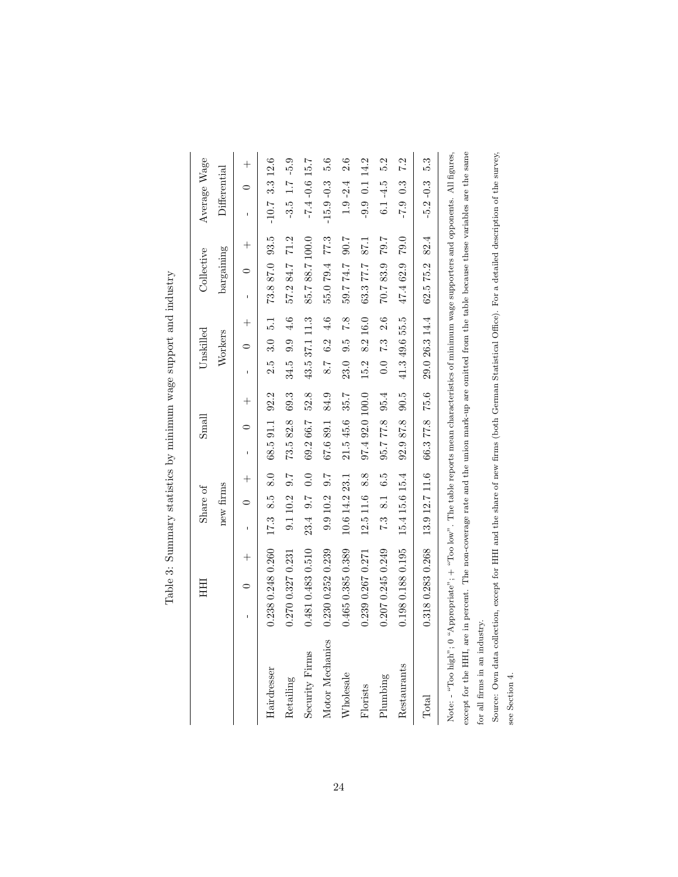|                                                                                                                                                 | HЩ                                                                                                                                              | Share of                          | Small                         | Unskilled                        | Collective                       | Average Wage                      |
|-------------------------------------------------------------------------------------------------------------------------------------------------|-------------------------------------------------------------------------------------------------------------------------------------------------|-----------------------------------|-------------------------------|----------------------------------|----------------------------------|-----------------------------------|
|                                                                                                                                                 |                                                                                                                                                 | new firms                         |                               | Workers                          | bargaining                       | Differential                      |
|                                                                                                                                                 | $\overline{+}$                                                                                                                                  | $^{+}$<br>$\circ$<br>$\mathbf{I}$ | $\hspace{0.1mm} +$<br>$\circ$ | $^{+}$<br>$\circ$<br>$\mathbf I$ | $^{+}$<br>$\circ$<br>$\mathbf I$ | $^{+}$<br>$\circ$<br>$\mathbf{I}$ |
| Hairdresser                                                                                                                                     | 0.238 0.248 0.260                                                                                                                               | 8.0<br>17.3 8.5                   | 68.5 91.1 92.2                | $2.5$ 3.0 $5.1$                  | 73.8 87.0 93.5                   | $-10.7$ 3.3 12.6                  |
| Retailing                                                                                                                                       | 0.270 0.327 0.231                                                                                                                               | 7.6<br>9.1 10.2                   | 69.3<br>73.582.8              | 9.94.6<br>34.5                   | 71.2<br>57.284.7                 | $-3.5$ 1.7 $-5.9$                 |
| Security Firms                                                                                                                                  | 0.481 0.483 0.510                                                                                                                               | 0.0<br>23.4 9.7                   | 52.8<br>69.2 66.7             | 43.537.111.3                     | 85.788.7100.0                    | $-7.4 - 0.6$ 15.7                 |
| Motor Mechanics                                                                                                                                 | 0.230 0.252 0.239                                                                                                                               | 9.9 10.2 9.7                      | 67.689.184.9                  | 8.7 6.2 4.6                      | 77.3<br>55.079.4                 | 5.6<br>$-15.9 - 0.3$              |
| Wholesale                                                                                                                                       | 0.465 0.385 0.389                                                                                                                               | 10.6 14.2 23.1                    | 21.5 45.6 35.7                | 23.0 9.5 7.8                     | 7.06<br>59.774.7                 | $1.9 - 2.4$ 2.6                   |
| Florists                                                                                                                                        | 0.2390.2670.271                                                                                                                                 | 12.5 11.6 8.8                     | 97.4 92.0 100.0               | 8.2 16.0<br>15.2                 | 87.1<br>63.377.7                 | $-9.9$ 0.1 14.2                   |
| Plumbing                                                                                                                                        | 0.207 0.245 0.249                                                                                                                               | 7.3 8.1 6.5                       | 95.777.8 95.4                 | $7.3\ 2.6$<br>$\overline{0}$ .   | 7.07<br>70.783.9                 | 5.2<br>$6.1 - 4.5$                |
| Restaurants                                                                                                                                     | 0.198 0.188 0.195                                                                                                                               | 15.4 15.6 15.4                    | 92.9 87.8 90.5                |                                  | $41.349.655.5$ $47.462.9$ 79.0   | $-7.9$ 0.3 7.2                    |
| Total                                                                                                                                           | $0.3180.2830.268$ 13.9 12.7 11.6 66.3 77.8 75.6 29.0 26.3 14.4 62.5 75.2 82.4                                                                   |                                   |                               |                                  |                                  | $-5.2 - 0.3$ 5.3                  |
|                                                                                                                                                 | Note: - "Too high"; 0 "Appropriate"; + "Too low". The table reports mean characteristics of minimum wage supporters and opponents. All figures, |                                   |                               |                                  |                                  |                                   |
| except for the HHI, are in percent. The non-coverage rate and the union mark-up are omitted from the table because these variables are the same |                                                                                                                                                 |                                   |                               |                                  |                                  |                                   |
| for all firms in an industry.                                                                                                                   |                                                                                                                                                 |                                   |                               |                                  |                                  |                                   |

Source: Own data collection, except for HHI and the share of new firms (both German Statistical Office). For a detailed description of the survey,

Source: Own data collection, except for HHI and the share of new firms (both German Statistical Office). For a detailed description of the survey,

see Section 4.

see Section 4.

Table 3: Summary statistics by minimum wage support and industry Table 3: Summary statistics by minimum wage support and industry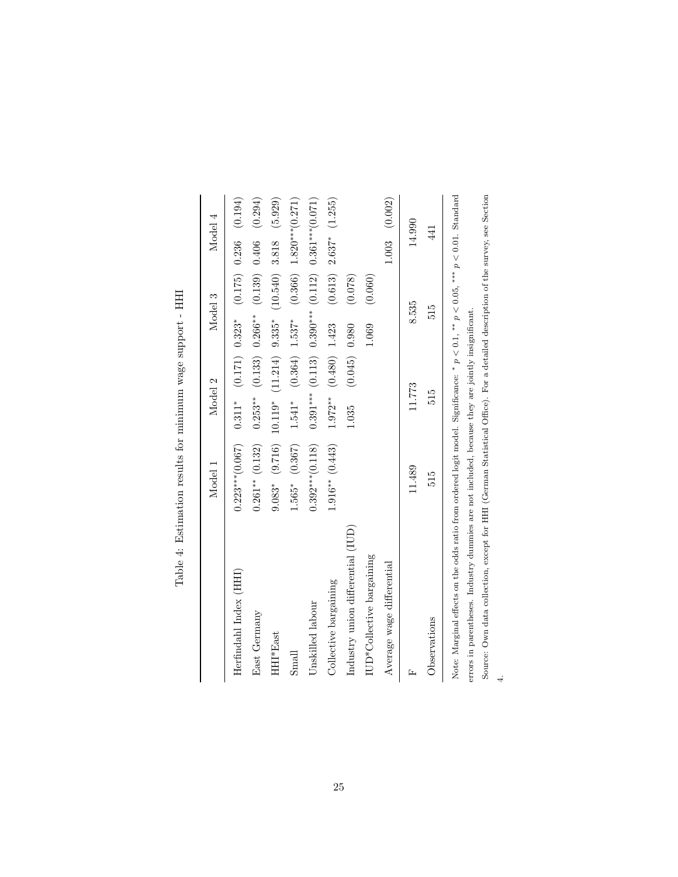|                                                                                                                                                                                                                                                                                                                                                                          | Model 1                                                                              | Model 2 |                                                          | Model 3 |         |                              | Model 4 |
|--------------------------------------------------------------------------------------------------------------------------------------------------------------------------------------------------------------------------------------------------------------------------------------------------------------------------------------------------------------------------|--------------------------------------------------------------------------------------|---------|----------------------------------------------------------|---------|---------|------------------------------|---------|
| Herfindahl Index (HHI)                                                                                                                                                                                                                                                                                                                                                   | $0.223***(0.067)$ $0.311*$ $(0.171)$ $0.323*$ $(0.175)$ $0.236$ $(0.194)$            |         |                                                          |         |         |                              |         |
| East Germany                                                                                                                                                                                                                                                                                                                                                             | $0.261***$ (0.132) $0.253***$ (0.133) $0.266**$ (0.139) $0.406$ (0.294)              |         |                                                          |         |         |                              |         |
| HHI*East                                                                                                                                                                                                                                                                                                                                                                 | $9.083^*$ ( $9.716$ ) $10.119^*$ ( $11.214$ ) $9.335^*$ ( $10.540$ ) $3.818$ (5.929) |         |                                                          |         |         |                              |         |
| Small                                                                                                                                                                                                                                                                                                                                                                    | $1.565*$ (0.367)                                                                     |         | $1.541*$ (0.364) $1.537*$                                |         |         | $(0.366)$ 1.820**(0.271)     |         |
| Unskilled labour                                                                                                                                                                                                                                                                                                                                                         | $0.392***(0.118)$                                                                    |         | $0.391***$ (0.113) $0.390***$ (0.112) $0.361***$ (0.071) |         |         |                              |         |
| Collective bargaining                                                                                                                                                                                                                                                                                                                                                    | $1.916**$ (0.443)                                                                    |         | $1.972***$ (0.480) 1.423                                 |         |         | $(0.613)$ $2.637*$ $(1.255)$ |         |
| Industry union differential (IUD)                                                                                                                                                                                                                                                                                                                                        |                                                                                      | 1.035   | (0.045) 0.980                                            |         | (0.078) |                              |         |
| IUD*Collective bargaining                                                                                                                                                                                                                                                                                                                                                |                                                                                      |         |                                                          | 1.069   | (0.060) |                              |         |
| Average wage differential                                                                                                                                                                                                                                                                                                                                                |                                                                                      |         |                                                          |         |         | 1.003                        | (0.002) |
| ┗                                                                                                                                                                                                                                                                                                                                                                        | 11.489                                                                               | 11.773  |                                                          | 8.535   |         |                              | 14.990  |
| Observations                                                                                                                                                                                                                                                                                                                                                             | 515                                                                                  | 515     |                                                          | 515     |         |                              | 441     |
| Note: Marginal effects on the odds ratio from ordered logit model. Significance: $* p < 0.1, ** p < 0.05, ** p < 0.01$ . Standard<br>Source: Own data collection, except for HHI (German Statistical Office). For a detailed description of the survey, see Section<br>errors in parentheses. Industry dummies are not included, because they are jointly insignificant. |                                                                                      |         |                                                          |         |         |                              |         |
|                                                                                                                                                                                                                                                                                                                                                                          |                                                                                      |         |                                                          |         |         |                              |         |

Table 4: Estimation results for minimum wage support - HHI Table 4: Estimation results for minimum wage support - HHI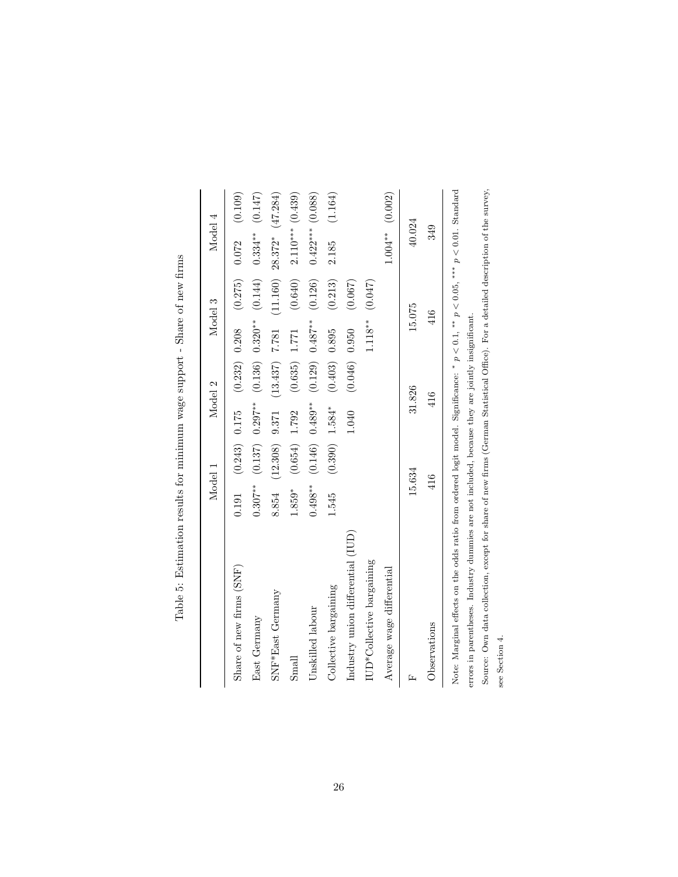|                                                                                                                                               | Model 1   |                                       | Model 2           |                 |                   | Model 3           | Model 4                                                               |                    |
|-----------------------------------------------------------------------------------------------------------------------------------------------|-----------|---------------------------------------|-------------------|-----------------|-------------------|-------------------|-----------------------------------------------------------------------|--------------------|
| Share of new firms (SNF)                                                                                                                      | 0.191     |                                       |                   |                 |                   |                   | $(0.243)$ 0.175 $(0.232)$ 0.208 $(0.275)$ 0.072 $(0.109)$             |                    |
| East Germany                                                                                                                                  | $0.307**$ |                                       |                   |                 |                   |                   | $(0.137)$ $0.297**$ $(0.136)$ $0.320**$ $(0.144)$ $0.334**$ $(0.147)$ |                    |
| SNF <sup>*</sup> East Germany                                                                                                                 | 8.854     | $(12.308)$ $9.371$ $(13.437)$ $7.781$ |                   |                 |                   |                   | $(11.160)$ 28.372* $(47.284)$                                         |                    |
| Small                                                                                                                                         | $1.859*$  | $(0.654)$ 1.792                       |                   | $(0.635)$ 1.771 |                   | (0.640)           |                                                                       | $2.110***$ (0.439) |
| Unskilled labour                                                                                                                              | $0.498**$ |                                       | $(0.146)$ 0.489** |                 | $(0.129)$ 0.487** | (0.126)           |                                                                       | $0.422***$ (0.088) |
| Collective bargaining                                                                                                                         | 1.545     |                                       | $(0.390)$ 1.584*  | (0.403) 0.895   |                   | (0.213)           | 2.185                                                                 | (1.164)            |
| Industry union differential (IUD)                                                                                                             |           |                                       | 1.040             | $(0.046)$ 0.950 |                   | (0.067)           |                                                                       |                    |
| IUD*Collective bargaining                                                                                                                     |           |                                       |                   |                 |                   | $1.118**$ (0.047) |                                                                       |                    |
| Average wage differential                                                                                                                     |           |                                       |                   |                 |                   |                   |                                                                       | $1.004**$ (0.002)  |
| 匞                                                                                                                                             | 15.634    |                                       | 31.826            |                 |                   | 15.075            | 40.024                                                                |                    |
| Observations                                                                                                                                  |           | 416                                   | 416               |                 |                   | 416               | 349                                                                   |                    |
| Note: Marginal effects on the odds ratio from ordered logit model. Significance: $* p \lt 0.1$ , $** p \lt 0.05$ , $** p \lt 0.01$ . Standard |           |                                       |                   |                 |                   |                   |                                                                       |                    |
| errors in parentheses. Industry dummies are not included, because they are jointly insignificant.                                             |           |                                       |                   |                 |                   |                   |                                                                       |                    |
| Source: Own data collection, except for share of new firms (German Statistical Office). For a detailed description of the survey,             |           |                                       |                   |                 |                   |                   |                                                                       |                    |
| see Section 4.                                                                                                                                |           |                                       |                   |                 |                   |                   |                                                                       |                    |

Table 5: Estimation results for minimum wage support - Share of new firms Table 5: Estimation results for minimum wage support - Share of new firms